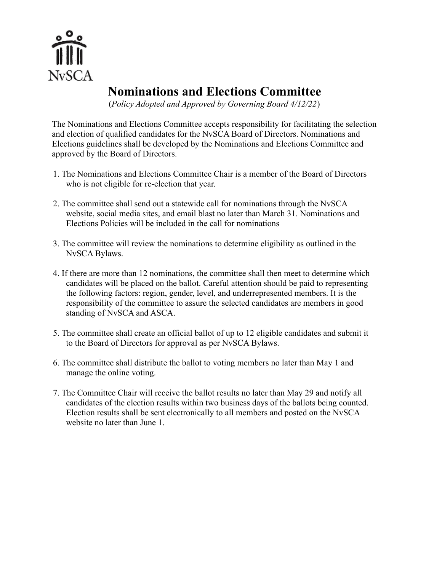

## **Nominations and Elections Committee**

(*Policy Adopted and Approved by Governing Board 4/12/22*)

The Nominations and Elections Committee accepts responsibility for facilitating the selection and election of qualified candidates for the NvSCA Board of Directors. Nominations and Elections guidelines shall be developed by the Nominations and Elections Committee and approved by the Board of Directors.

- 1. The Nominations and Elections Committee Chair is a member of the Board of Directors who is not eligible for re-election that year.
- 2. The committee shall send out a statewide call for nominations through the NvSCA website, social media sites, and email blast no later than March 31. Nominations and Elections Policies will be included in the call for nominations
- 3. The committee will review the nominations to determine eligibility as outlined in the NvSCA Bylaws.
- 4. If there are more than 12 nominations, the committee shall then meet to determine which candidates will be placed on the ballot. Careful attention should be paid to representing the following factors: region, gender, level, and underrepresented members. It is the responsibility of the committee to assure the selected candidates are members in good standing of NvSCA and ASCA.
- 5. The committee shall create an official ballot of up to 12 eligible candidates and submit it to the Board of Directors for approval as per NvSCA Bylaws.
- 6. The committee shall distribute the ballot to voting members no later than May 1 and manage the online voting.
- 7. The Committee Chair will receive the ballot results no later than May 29 and notify all candidates of the election results within two business days of the ballots being counted. Election results shall be sent electronically to all members and posted on the NvSCA website no later than June 1.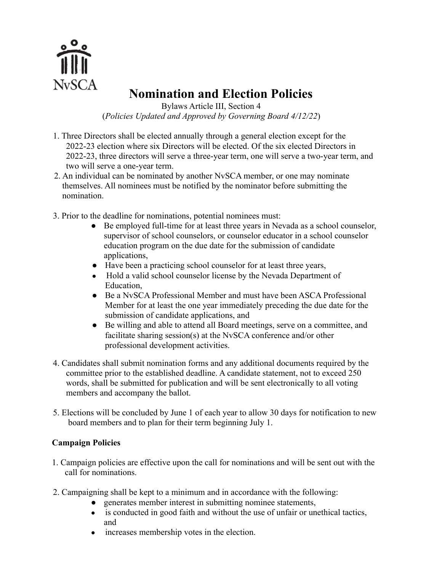

## **Nomination and Election Policies**

Bylaws Article III, Section 4 (*Policies Updated and Approved by Governing Board 4/12/22*)

- 1. Three Directors shall be elected annually through a general election except for the 2022-23 election where six Directors will be elected. Of the six elected Directors in 2022-23, three directors will serve a three-year term, one will serve a two-year term, and two will serve a one-year term.
- 2. An individual can be nominated by another NvSCA member, or one may nominate themselves. All nominees must be notified by the nominator before submitting the nomination.
- 3. Prior to the deadline for nominations, potential nominees must:
	- Be employed full-time for at least three years in Nevada as a school counselor, supervisor of school counselors, or counselor educator in a school counselor education program on the due date for the submission of candidate applications,
	- Have been a practicing school counselor for at least three years,
	- Hold a valid school counselor license by the Nevada Department of Education,
	- Be a NySCA Professional Member and must have been ASCA Professional Member for at least the one year immediately preceding the due date for the submission of candidate applications, and
	- Be willing and able to attend all Board meetings, serve on a committee, and facilitate sharing session(s) at the NvSCA conference and/or other professional development activities.
- 4. Candidates shall submit nomination forms and any additional documents required by the committee prior to the established deadline. A candidate statement, not to exceed 250 words, shall be submitted for publication and will be sent electronically to all voting members and accompany the ballot.
- 5. Elections will be concluded by June 1 of each year to allow 30 days for notification to new board members and to plan for their term beginning July 1.

## **Campaign Policies**

- 1. Campaign policies are effective upon the call for nominations and will be sent out with the call for nominations.
- 2. Campaigning shall be kept to a minimum and in accordance with the following:
	- generates member interest in submitting nominee statements,
	- is conducted in good faith and without the use of unfair or unethical tactics, and
	- increases membership votes in the election.